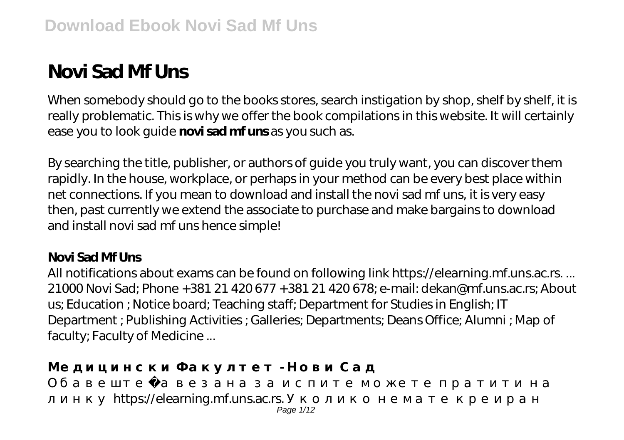# **Novi Sad Mf Uns**

When somebody should go to the books stores, search instigation by shop, shelf by shelf, it is really problematic. This is why we offer the book compilations in this website. It will certainly ease you to look guide **novi sad mf uns** as you such as.

By searching the title, publisher, or authors of guide you truly want, you can discover them rapidly. In the house, workplace, or perhaps in your method can be every best place within net connections. If you mean to download and install the novi sad mf uns, it is very easy then, past currently we extend the associate to purchase and make bargains to download and install novi sad mf uns hence simple!

# **Novi Sad Mf Uns**

All notifications about exams can be found on following link https://elearning.mf.uns.ac.rs. ... 21000 Novi Sad; Phone +381 21 420 677 +381 21 420 678; e-mail: dekan@mf.uns.ac.rs; About us; Education ; Notice board; Teaching staff; Department for Studies in English; IT Department ; Publishing Activities ; Galleries; Departments; Deans Office; Alumni ; Map of faculty; Faculty of Medicine ...

**Медицински Факултет - Нови Сад**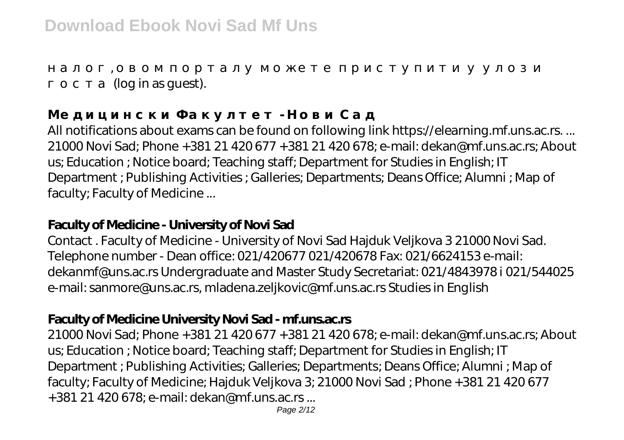**Медицински Факултет - Нови Сад**

(log in as quest).

All notifications about exams can be found on following link https://elearning.mf.uns.ac.rs. ... 21000 Novi Sad; Phone +381 21 420 677 +381 21 420 678; e-mail: dekan@mf.uns.ac.rs; About us; Education ; Notice board; Teaching staff; Department for Studies in English; IT Department ; Publishing Activities ; Galleries; Departments; Deans Office; Alumni ; Map of faculty; Faculty of Medicine ...

налог, овом порталу можете приступити у улози

## **Faculty of Medicine - University of Novi Sad**

Contact . Faculty of Medicine - University of Novi Sad Hajduk Veljkova 3 21000 Novi Sad. Telephone number - Dean office: 021/420677 021/420678 Fax: 021/6624153 e-mail: dekanmf@uns.ac.rs Undergraduate and Master Study Secretariat: 021/4843978 i 021/544025 e-mail: sanmore@uns.ac.rs, mladena.zeljkovic@mf.uns.ac.rs Studies in English

# **Faculty of Medicine University Novi Sad - mf.uns.ac.rs**

21000 Novi Sad; Phone +381 21 420 677 +381 21 420 678; e-mail: dekan@mf.uns.ac.rs; About us; Education ; Notice board; Teaching staff; Department for Studies in English; IT Department ; Publishing Activities; Galleries; Departments; Deans Office; Alumni ; Map of faculty; Faculty of Medicine; Hajduk Veljkova 3; 21000 Novi Sad ; Phone +381 21 420 677 +381 21 420 678; e-mail: dekan@mf.uns.ac.rs ...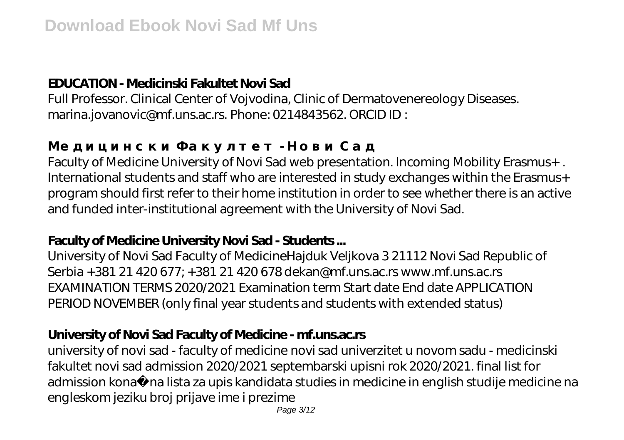# **EDUCATION - Medicinski Fakultet Novi Sad**

Full Professor. Clinical Center of Vojvodina, Clinic of Dermatovenereology Diseases. marina.jovanovic@mf.uns.ac.rs. Phone: 0214843562. ORCID ID :

Faculty of Medicine University of Novi Sad web presentation. Incoming Mobility Erasmus+ . International students and staff who are interested in study exchanges within the Erasmus+ program should first refer to their home institution in order to see whether there is an active and funded inter-institutional agreement with the University of Novi Sad.

# **Faculty of Medicine University Novi Sad - Students ...**

**Медицински Факултет - Нови Сад**

University of Novi Sad Faculty of MedicineHajduk Veljkova 3 21112 Novi Sad Republic of Serbia +381 21 420 677; +381 21 420 678 dekan@mf.uns.ac.rs www.mf.uns.ac.rs EXAMINATION TERMS 2020/2021 Examination term Start date End date APPLICATION PERIOD NOVEMBER (only final year students and students with extended status)

# **University of Novi Sad Faculty of Medicine - mf.uns.ac.rs**

university of novi sad - faculty of medicine novi sad univerzitet u novom sadu - medicinski fakultet novi sad admission 2020/2021 septembarski upisni rok 2020/2021. final list for admission kona na lista za upis kandidata studies in medicine in english studije medicine na engleskom jeziku broj prijave ime i prezime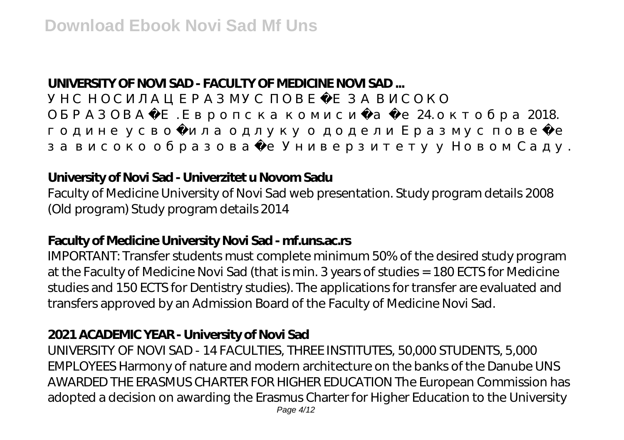# **UNIVERSITY OF NOVI SAD - FACULTY OF MEDICINE NOVI SAD ...**

овање . Европска комисија је 24.  $2018$ .

## **University of Novi Sad - Univerzitet u Novom Sadu**

Faculty of Medicine University of Novi Sad web presentation. Study program details 2008 (Old program) Study program details 2014

за високо образовање Универзитету у Новом Саду.

#### **Faculty of Medicine University Novi Sad - mf.uns.ac.rs**

IMPORTANT: Transfer students must complete minimum 50% of the desired study program at the Faculty of Medicine Novi Sad (that is min. 3 years of studies = 180 ECTS for Medicine studies and 150 ECTS for Dentistry studies). The applications for transfer are evaluated and transfers approved by an Admission Board of the Faculty of Medicine Novi Sad.

#### **2021 ACADEMIC YEAR - University of Novi Sad**

UNIVERSITY OF NOVI SAD - 14 FACULTIES, THREE INSTITUTES, 50,000 STUDENTS, 5,000 EMPLOYEES Harmony of nature and modern architecture on the banks of the Danube UNS AWARDED THE ERASMUS CHARTER FOR HIGHER EDUCATION The European Commission has adopted a decision on awarding the Erasmus Charter for Higher Education to the University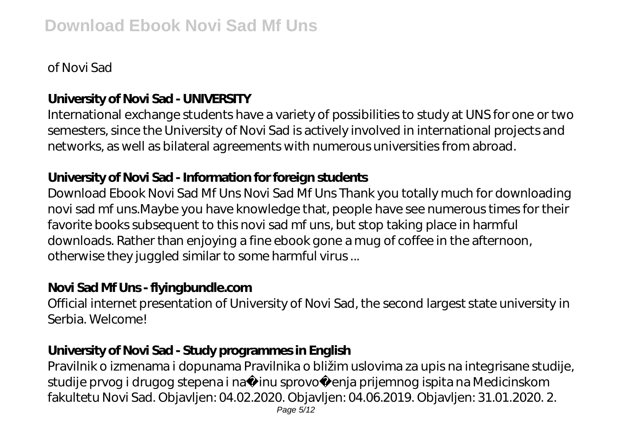# of Novi Sad

# **University of Novi Sad - UNIVERSITY**

International exchange students have a variety of possibilities to study at UNS for one or two semesters, since the University of Novi Sad is actively involved in international projects and networks, as well as bilateral agreements with numerous universities from abroad.

# **University of Novi Sad - Information for foreign students**

Download Ebook Novi Sad Mf Uns Novi Sad Mf Uns Thank you totally much for downloading novi sad mf uns.Maybe you have knowledge that, people have see numerous times for their favorite books subsequent to this novi sad mf uns, but stop taking place in harmful downloads. Rather than enjoying a fine ebook gone a mug of coffee in the afternoon, otherwise they juggled similar to some harmful virus ...

# **Novi Sad Mf Uns - flyingbundle.com**

Official internet presentation of University of Novi Sad, the second largest state university in Serbia. Welcome!

# **University of Novi Sad - Study programmes in English**

Pravilnik o izmenama i dopunama Pravilnika o bližim uslovima za upis na integrisane studije, studije prvog i drugog stepena i na inu sprovo enja prijemnog ispita na Medicinskom fakultetu Novi Sad. Objavljen: 04.02.2020. Objavljen: 04.06.2019. Objavljen: 31.01.2020. 2.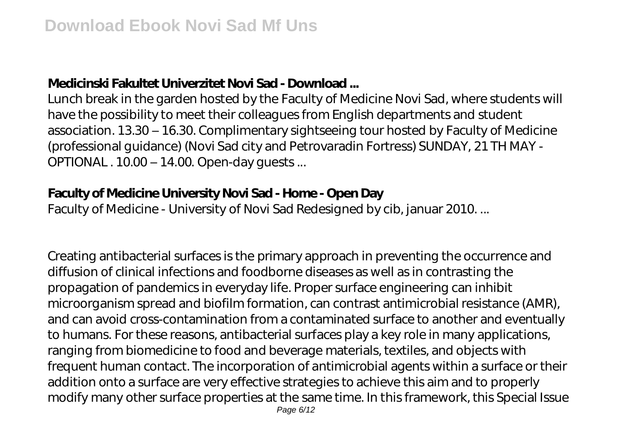### **Medicinski Fakultet Univerzitet Novi Sad - Download ...**

Lunch break in the garden hosted by the Faculty of Medicine Novi Sad, where students will have the possibility to meet their colleagues from English departments and student association. 13.30 – 16.30. Complimentary sightseeing tour hosted by Faculty of Medicine (professional guidance) (Novi Sad city and Petrovaradin Fortress) SUNDAY, 21 TH MAY - OPTIONAL . 10.00 – 14.00. Open-day guests ...

#### **Faculty of Medicine University Novi Sad - Home - Open Day**

Faculty of Medicine - University of Novi Sad Redesigned by cib, januar 2010. ...

Creating antibacterial surfaces is the primary approach in preventing the occurrence and diffusion of clinical infections and foodborne diseases as well as in contrasting the propagation of pandemics in everyday life. Proper surface engineering can inhibit microorganism spread and biofilm formation, can contrast antimicrobial resistance (AMR), and can avoid cross-contamination from a contaminated surface to another and eventually to humans. For these reasons, antibacterial surfaces play a key role in many applications, ranging from biomedicine to food and beverage materials, textiles, and objects with frequent human contact. The incorporation of antimicrobial agents within a surface or their addition onto a surface are very effective strategies to achieve this aim and to properly modify many other surface properties at the same time. In this framework, this Special Issue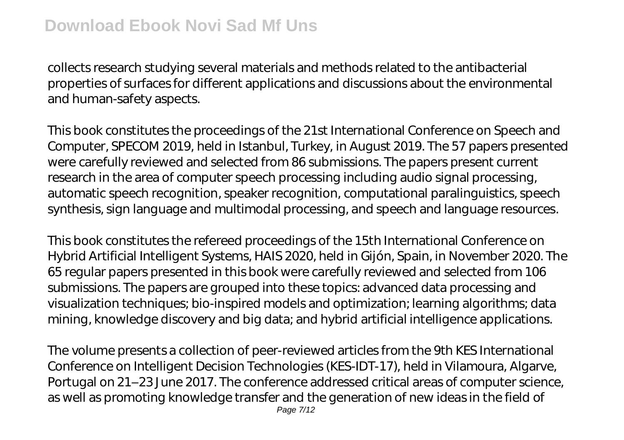collects research studying several materials and methods related to the antibacterial properties of surfaces for different applications and discussions about the environmental and human-safety aspects.

This book constitutes the proceedings of the 21st International Conference on Speech and Computer, SPECOM 2019, held in Istanbul, Turkey, in August 2019. The 57 papers presented were carefully reviewed and selected from 86 submissions. The papers present current research in the area of computer speech processing including audio signal processing, automatic speech recognition, speaker recognition, computational paralinguistics, speech synthesis, sign language and multimodal processing, and speech and language resources.

This book constitutes the refereed proceedings of the 15th International Conference on Hybrid Artificial Intelligent Systems, HAIS 2020, held in Gijón, Spain, in November 2020. The 65 regular papers presented in this book were carefully reviewed and selected from 106 submissions. The papers are grouped into these topics: advanced data processing and visualization techniques; bio-inspired models and optimization; learning algorithms; data mining, knowledge discovery and big data; and hybrid artificial intelligence applications.

The volume presents a collection of peer-reviewed articles from the 9th KES International Conference on Intelligent Decision Technologies (KES-IDT-17), held in Vilamoura, Algarve, Portugal on 21–23 June 2017. The conference addressed critical areas of computer science, as well as promoting knowledge transfer and the generation of new ideas in the field of Page 7/12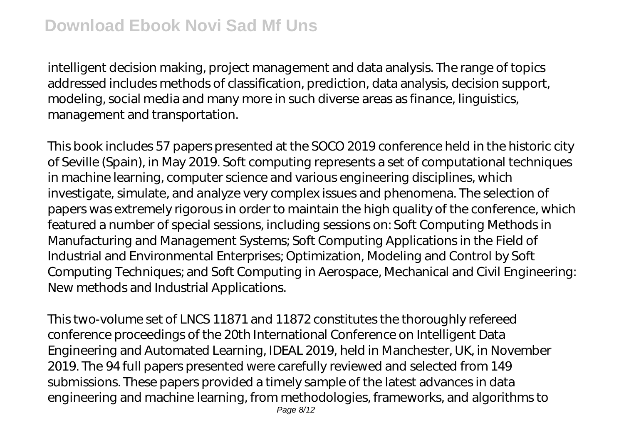intelligent decision making, project management and data analysis. The range of topics addressed includes methods of classification, prediction, data analysis, decision support, modeling, social media and many more in such diverse areas as finance, linguistics, management and transportation.

This book includes 57 papers presented at the SOCO 2019 conference held in the historic city of Seville (Spain), in May 2019. Soft computing represents a set of computational techniques in machine learning, computer science and various engineering disciplines, which investigate, simulate, and analyze very complex issues and phenomena. The selection of papers was extremely rigorous in order to maintain the high quality of the conference, which featured a number of special sessions, including sessions on: Soft Computing Methods in Manufacturing and Management Systems; Soft Computing Applications in the Field of Industrial and Environmental Enterprises; Optimization, Modeling and Control by Soft Computing Techniques; and Soft Computing in Aerospace, Mechanical and Civil Engineering: New methods and Industrial Applications.

This two-volume set of LNCS 11871 and 11872 constitutes the thoroughly refereed conference proceedings of the 20th International Conference on Intelligent Data Engineering and Automated Learning, IDEAL 2019, held in Manchester, UK, in November 2019. The 94 full papers presented were carefully reviewed and selected from 149 submissions. These papers provided a timely sample of the latest advances in data engineering and machine learning, from methodologies, frameworks, and algorithms to Page 8/12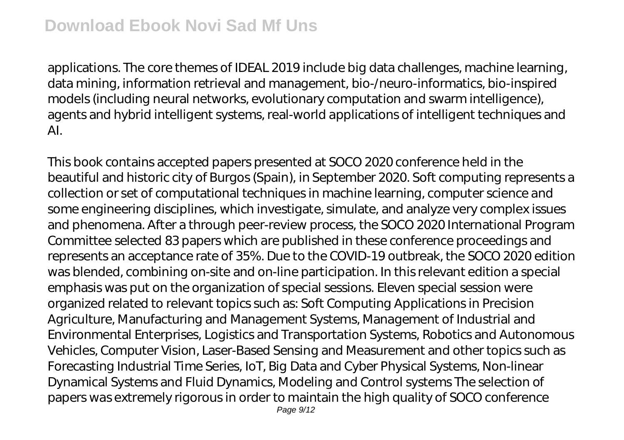applications. The core themes of IDEAL 2019 include big data challenges, machine learning, data mining, information retrieval and management, bio-/neuro-informatics, bio-inspired models (including neural networks, evolutionary computation and swarm intelligence), agents and hybrid intelligent systems, real-world applications of intelligent techniques and AI.

This book contains accepted papers presented at SOCO 2020 conference held in the beautiful and historic city of Burgos (Spain), in September 2020. Soft computing represents a collection or set of computational techniques in machine learning, computer science and some engineering disciplines, which investigate, simulate, and analyze very complex issues and phenomena. After a through peer-review process, the SOCO 2020 International Program Committee selected 83 papers which are published in these conference proceedings and represents an acceptance rate of 35%. Due to the COVID-19 outbreak, the SOCO 2020 edition was blended, combining on-site and on-line participation. In this relevant edition a special emphasis was put on the organization of special sessions. Eleven special session were organized related to relevant topics such as: Soft Computing Applications in Precision Agriculture, Manufacturing and Management Systems, Management of Industrial and Environmental Enterprises, Logistics and Transportation Systems, Robotics and Autonomous Vehicles, Computer Vision, Laser-Based Sensing and Measurement and other topics such as Forecasting Industrial Time Series, IoT, Big Data and Cyber Physical Systems, Non-linear Dynamical Systems and Fluid Dynamics, Modeling and Control systems The selection of papers was extremely rigorous in order to maintain the high quality of SOCO conference Page 9/12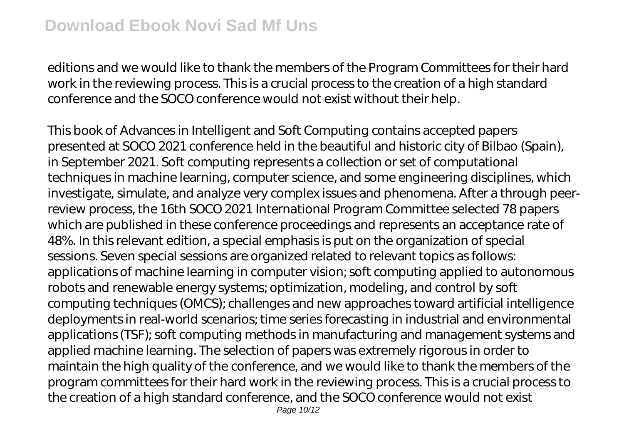editions and we would like to thank the members of the Program Committees for their hard work in the reviewing process. This is a crucial process to the creation of a high standard conference and the SOCO conference would not exist without their help.

This book of Advances in Intelligent and Soft Computing contains accepted papers presented at SOCO 2021 conference held in the beautiful and historic city of Bilbao (Spain), in September 2021. Soft computing represents a collection or set of computational techniques in machine learning, computer science, and some engineering disciplines, which investigate, simulate, and analyze very complex issues and phenomena. After a through peerreview process, the 16th SOCO 2021 International Program Committee selected 78 papers which are published in these conference proceedings and represents an acceptance rate of 48%. In this relevant edition, a special emphasis is put on the organization of special sessions. Seven special sessions are organized related to relevant topics as follows: applications of machine learning in computer vision; soft computing applied to autonomous robots and renewable energy systems; optimization, modeling, and control by soft computing techniques (OMCS); challenges and new approaches toward artificial intelligence deployments in real-world scenarios; time series forecasting in industrial and environmental applications (TSF); soft computing methods in manufacturing and management systems and applied machine learning. The selection of papers was extremely rigorous in order to maintain the high quality of the conference, and we would like to thank the members of the program committees for their hard work in the reviewing process. This is a crucial process to the creation of a high standard conference, and the SOCO conference would not exist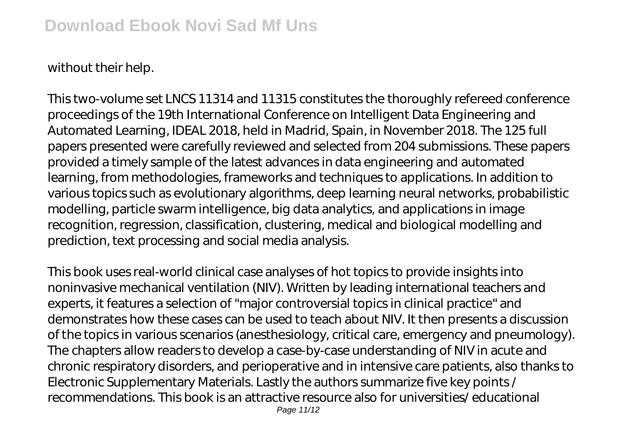without their help.

This two-volume set LNCS 11314 and 11315 constitutes the thoroughly refereed conference proceedings of the 19th International Conference on Intelligent Data Engineering and Automated Learning, IDEAL 2018, held in Madrid, Spain, in November 2018. The 125 full papers presented were carefully reviewed and selected from 204 submissions. These papers provided a timely sample of the latest advances in data engineering and automated learning, from methodologies, frameworks and techniques to applications. In addition to various topics such as evolutionary algorithms, deep learning neural networks, probabilistic modelling, particle swarm intelligence, big data analytics, and applications in image recognition, regression, classification, clustering, medical and biological modelling and prediction, text processing and social media analysis.

This book uses real-world clinical case analyses of hot topics to provide insights into noninvasive mechanical ventilation (NIV). Written by leading international teachers and experts, it features a selection of "major controversial topics in clinical practice" and demonstrates how these cases can be used to teach about NIV. It then presents a discussion of the topics in various scenarios (anesthesiology, critical care, emergency and pneumology). The chapters allow readers to develop a case-by-case understanding of NIV in acute and chronic respiratory disorders, and perioperative and in intensive care patients, also thanks to Electronic Supplementary Materials. Lastly the authors summarize five key points / recommendations. This book is an attractive resource also for universities/ educational